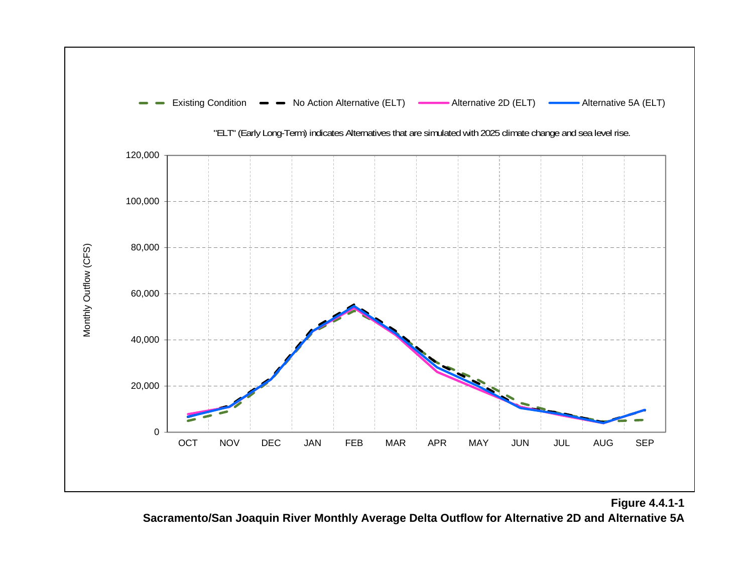

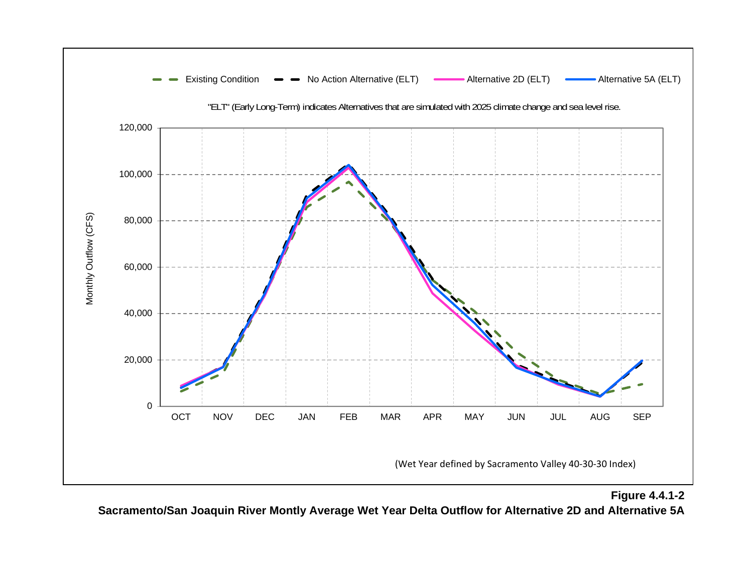

## **Figure 4.4.1-2 Sacramento/San Joaquin River Montly Average Wet Year Delta Outflow for Alternative 2D and Alternative 5A**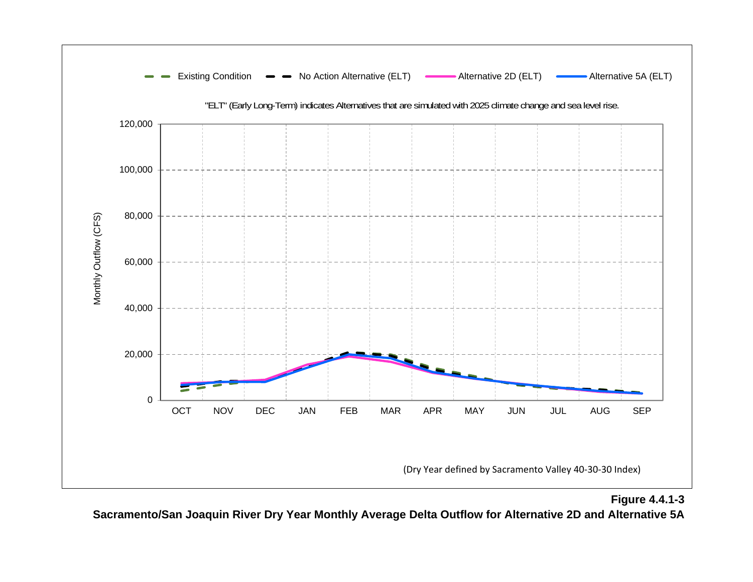

## **Figure 4.4.1-3 Sacramento/San Joaquin River Dry Year Monthly Average Delta Outflow for Alternative 2D and Alternative 5A**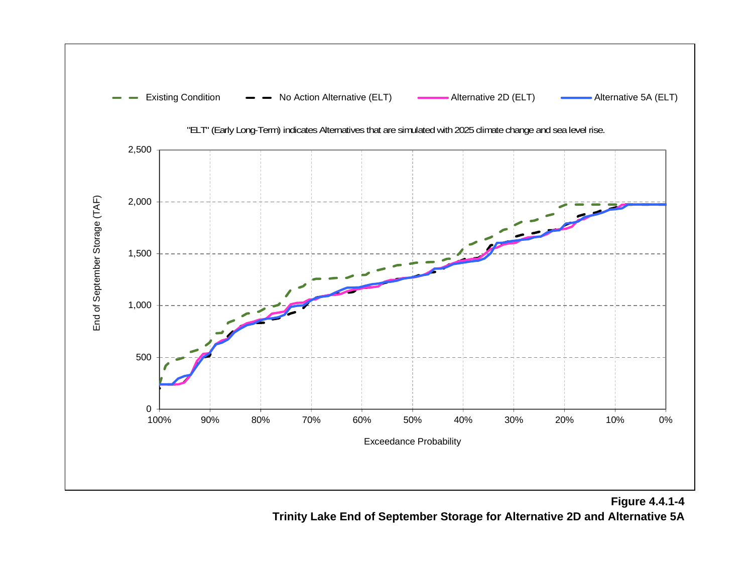

 **Figure 4.4.1-4 Trinity Lake End of September Storage for Alternative 2D and Alternative 5A**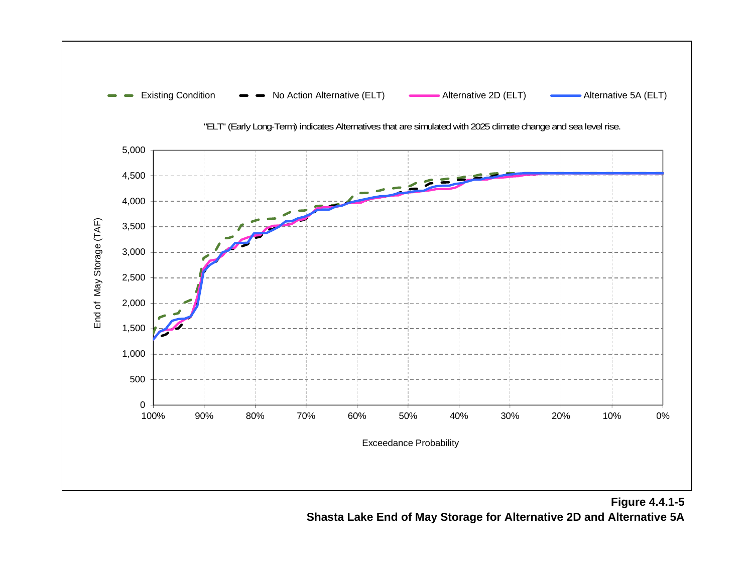

 **Figure 4.4.1-5 Shasta Lake End of May Storage for Alternative 2D and Alternative 5A**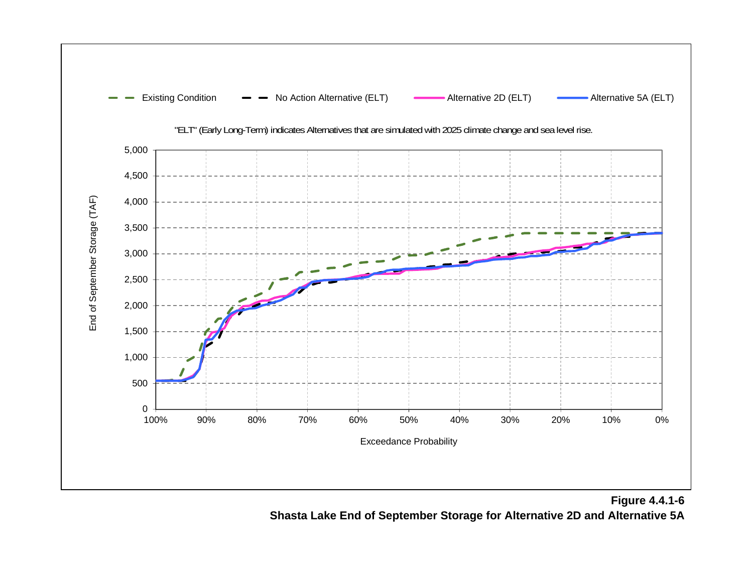

**Shasta Lake End of September Storage for Alternative 2D and Alternative 5A**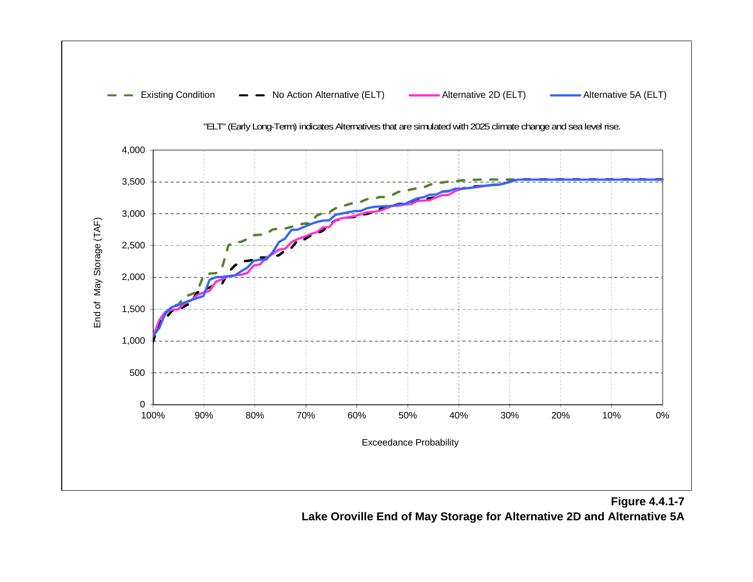

 **Figure 4.4.1-7 Lake Oroville End of May Storage for Alternative 2D and Alternative 5A**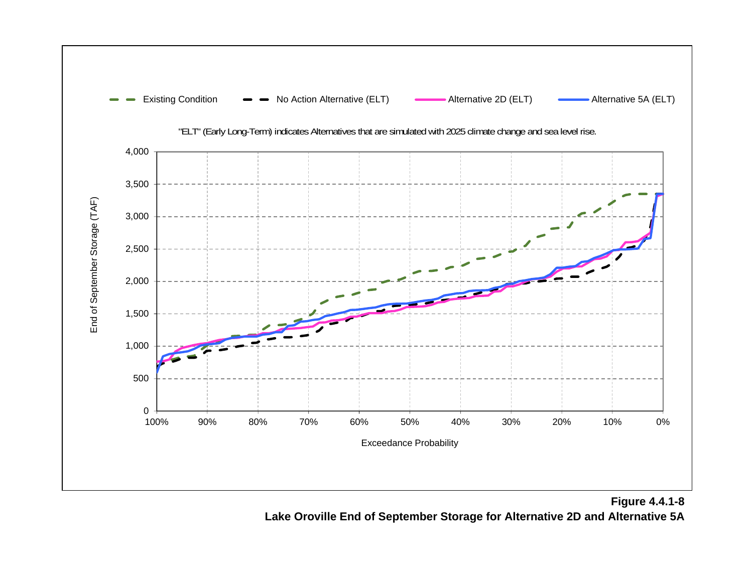

 **Figure 4.4.1-8 Lake Oroville End of September Storage for Alternative 2D and Alternative 5A**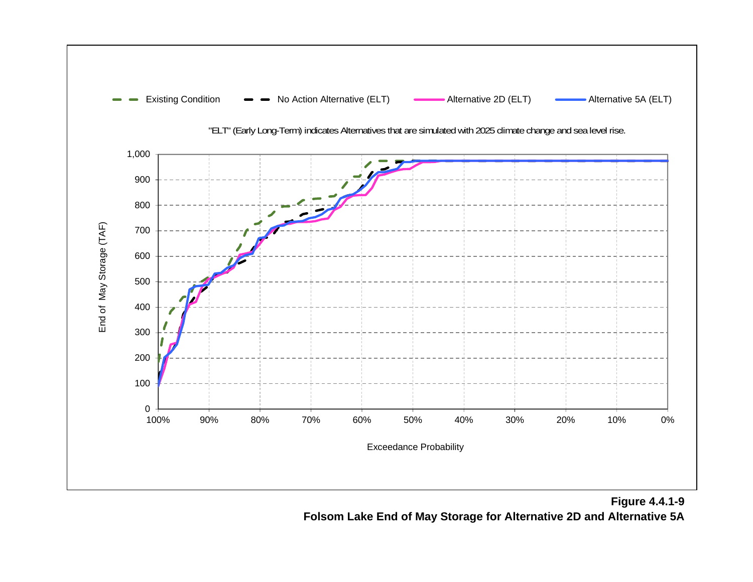

 **Figure 4.4.1-9 Folsom Lake End of May Storage for Alternative 2D and Alternative 5A**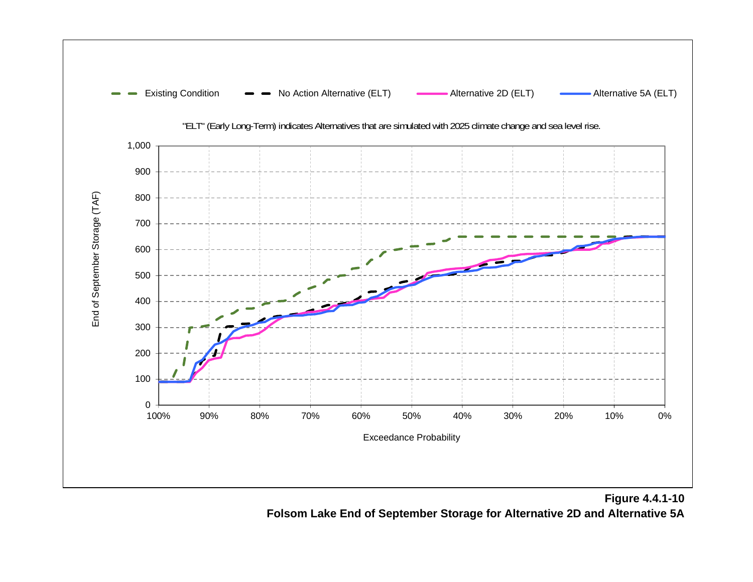

**Folsom Lake End of September Storage for Alternative 2D and Alternative 5A**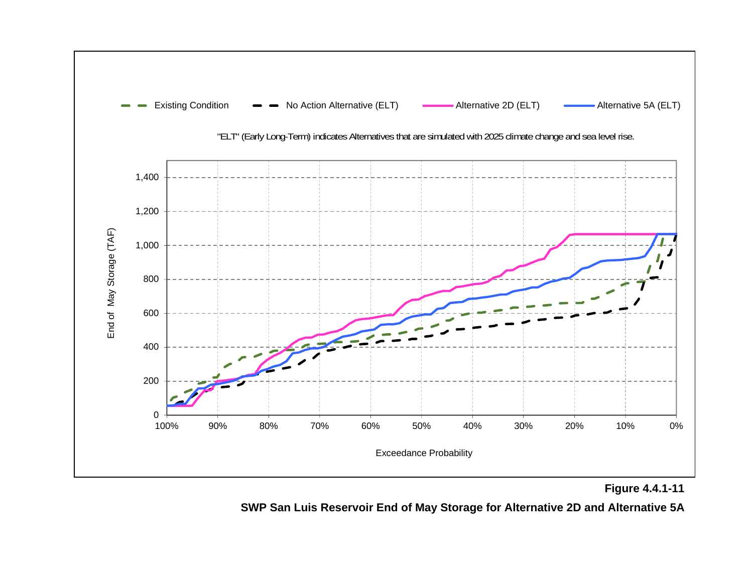

**Figure 4.4.1-11** 

**SWP San Luis Reservoir End of May Storage for Alternative 2D and Alternative 5A**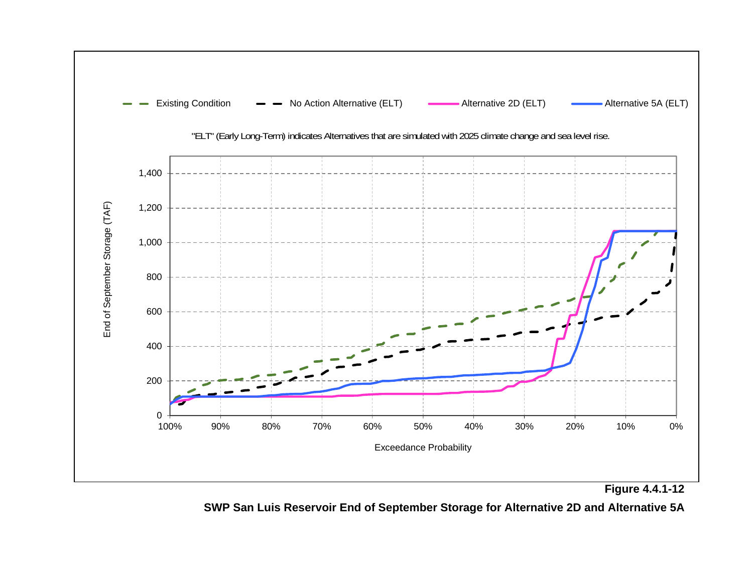

**Figure 4.4.1-12** 

**SWP San Luis Reservoir End of September Storage for Alternative 2D and Alternative 5A**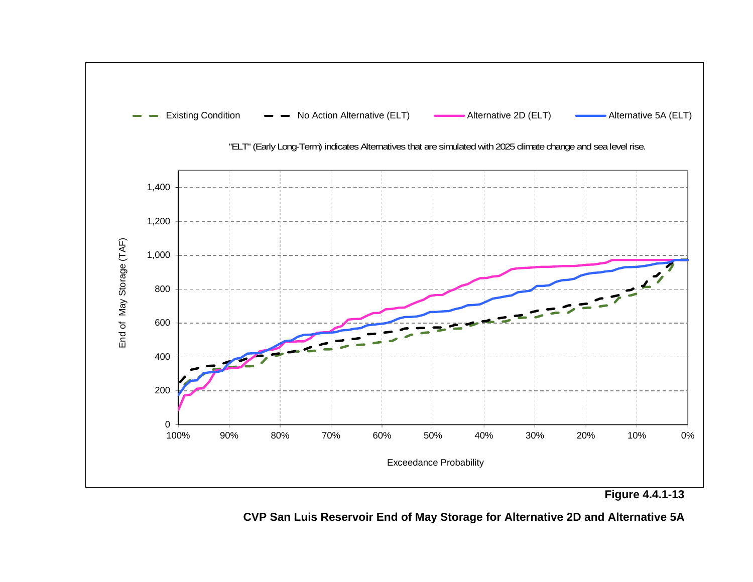

**CVP San Luis Reservoir End of May Storage for Alternative 2D and Alternative 5A**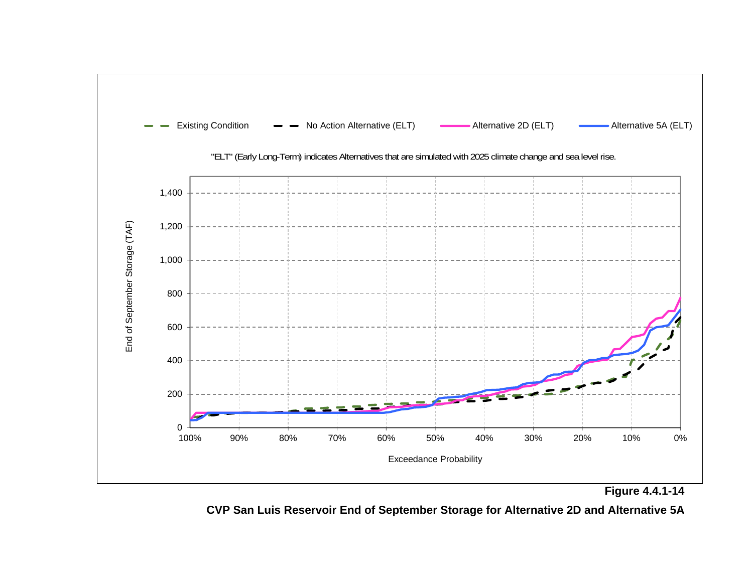

**Figure 4.4.1-14** 

**CVP San Luis Reservoir End of September Storage for Alternative 2D and Alternative 5A**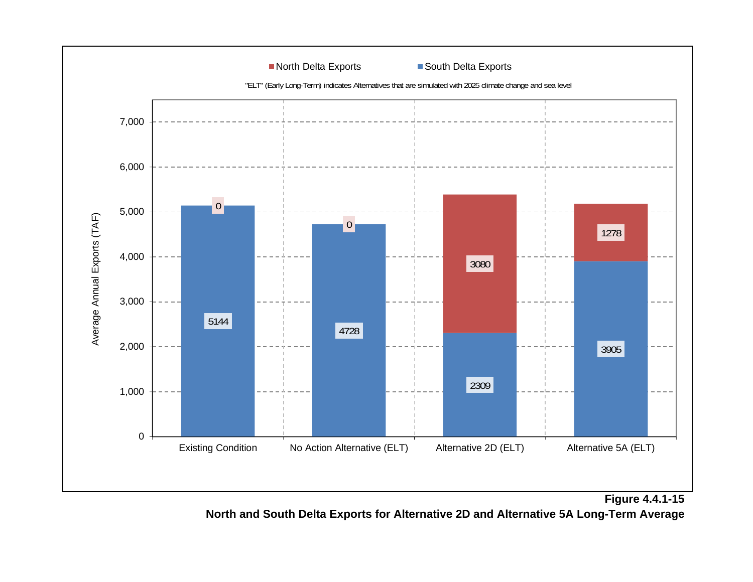

**North and South Delta Exports for Alternative 2D and Alternative 5A Long-Term Average**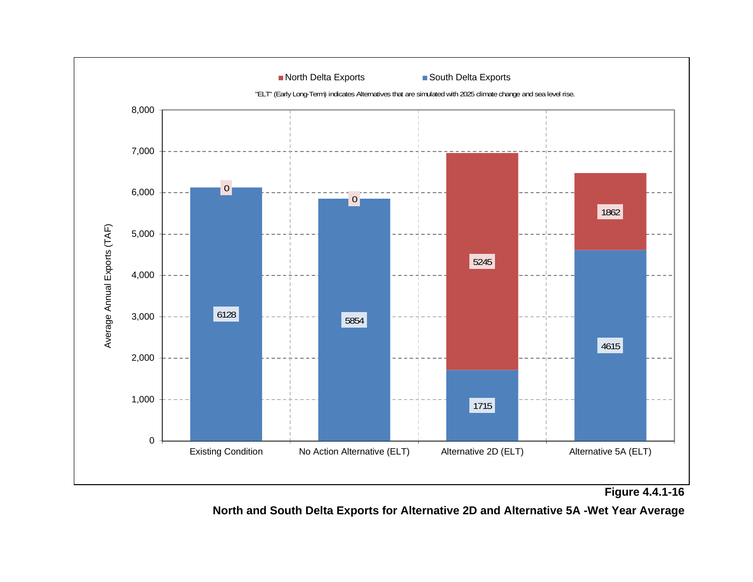

**North and South Delta Exports for Alternative 2D and Alternative 5A -Wet Year Average**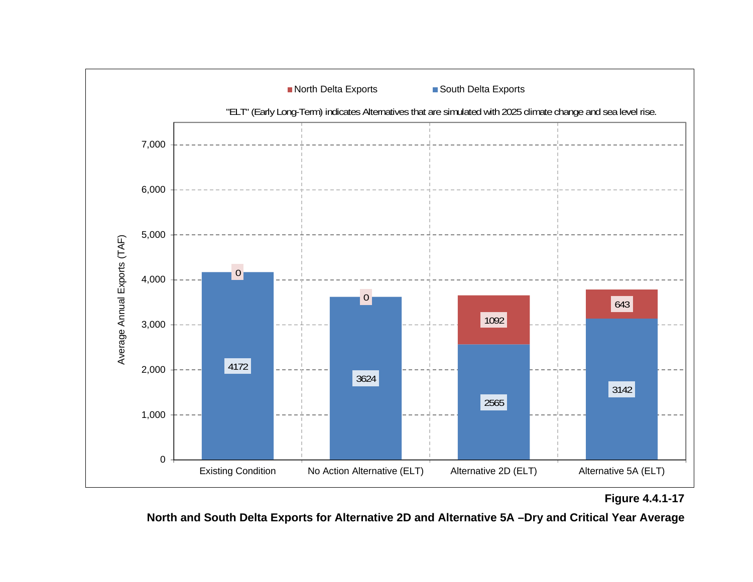

**Figure 4.4.1-17** 

**North and South Delta Exports for Alternative 2D and Alternative 5A –Dry and Critical Year Average**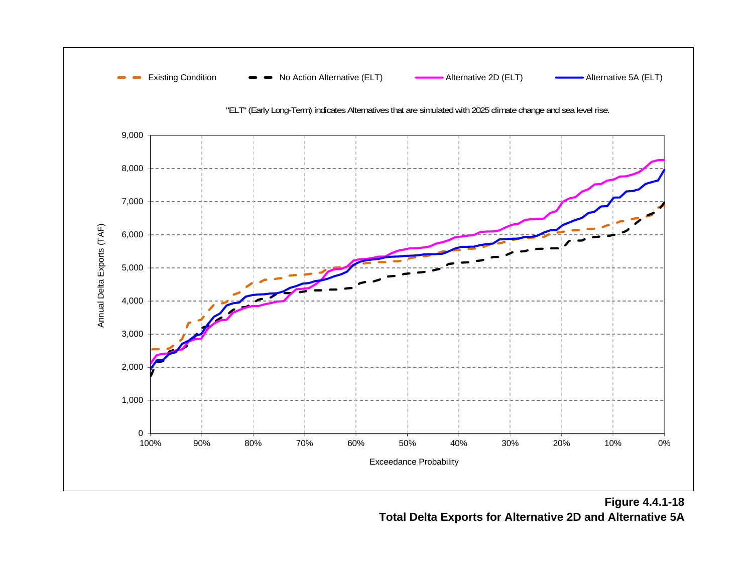

**Figure 4.4.1-18 Total Delta Exports for Alternative 2D and Alternative 5A**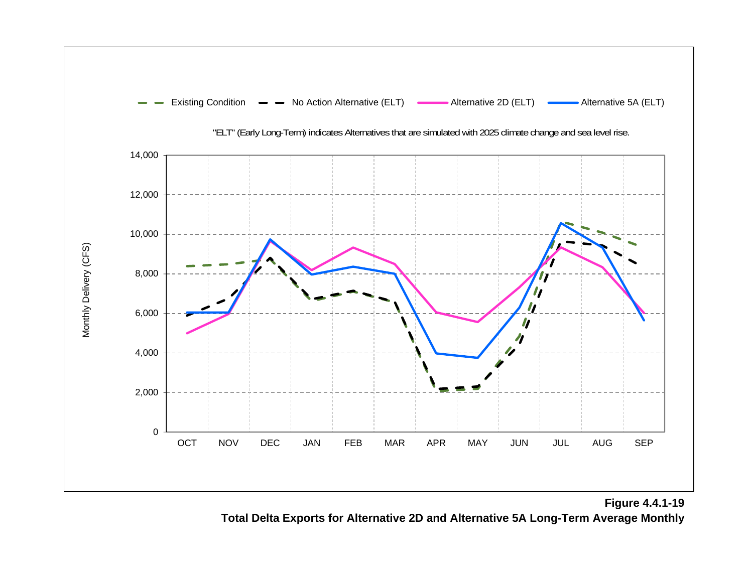

**Figure 4.4.1-19 Total Delta Exports for Alternative 2D and Alternative 5A Long-Term Average Monthly**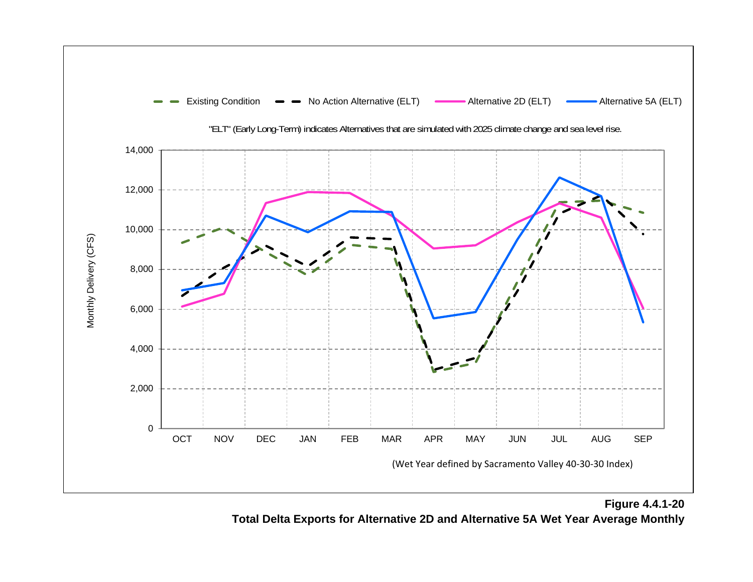

**Figure 4.4.1-20 Total Delta Exports for Alternative 2D and Alternative 5A Wet Year Average Monthly**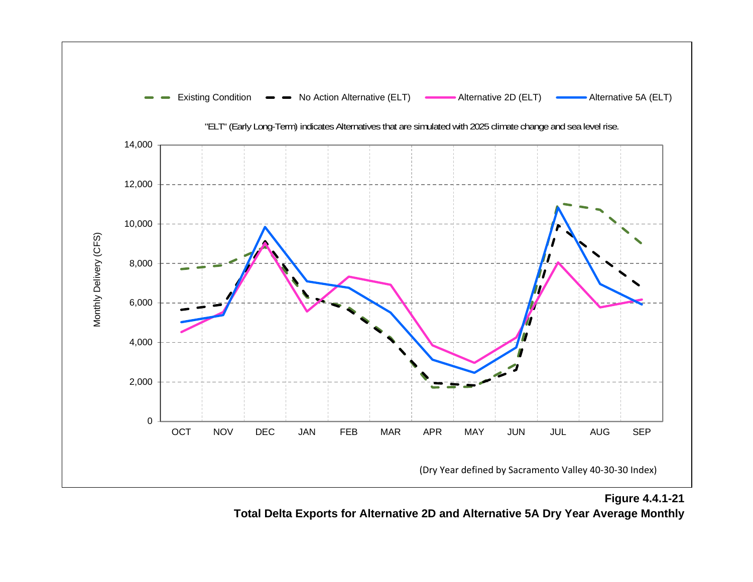

## **Figure 4.4.1-21 Total Delta Exports for Alternative 2D and Alternative 5A Dry Year Average Monthly**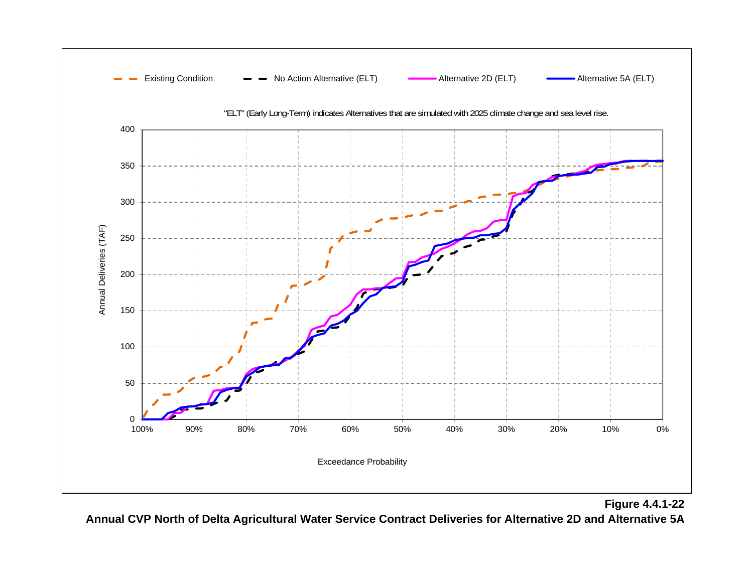

**Annual CVP North of Delta Agricultural Water Service Contract Deliveries for Alternative 2D and Alternative 5A**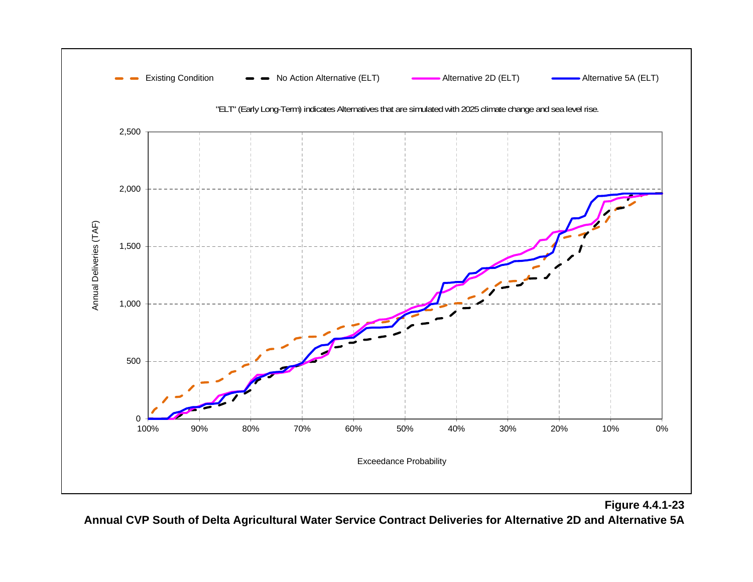

**Annual CVP South of Delta Agricultural Water Service Contract Deliveries for Alternative 2D and Alternative 5A**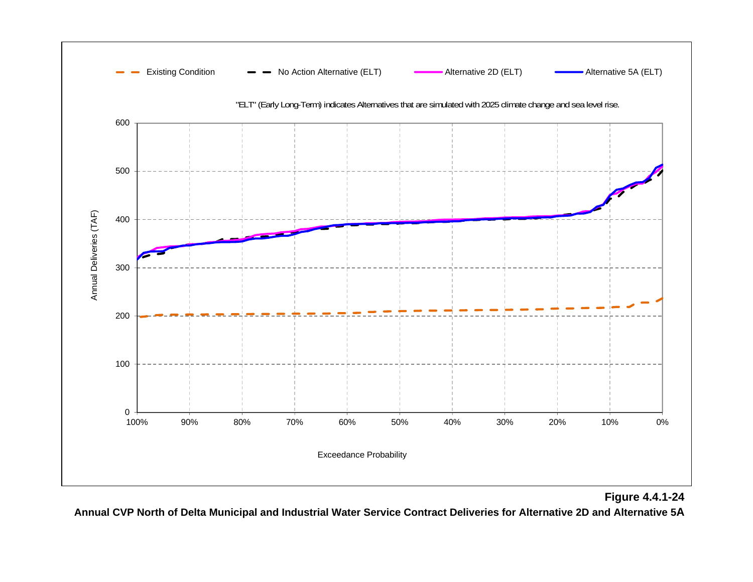



**Annual CVP North of Delta Municipal and Industrial Water Service Contract Deliveries for Alternative 2D and Alternative 5A**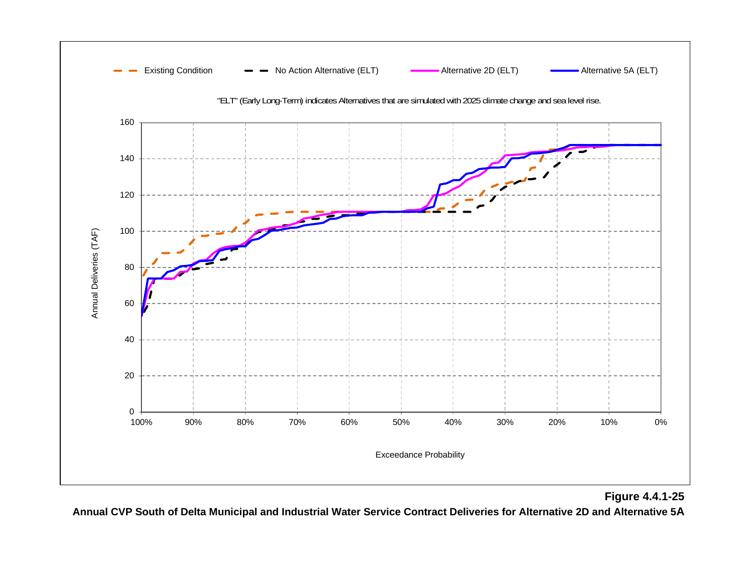

**Figure 4.4.1-25** 

**Annual CVP South of Delta Municipal and Industrial Water Service Contract Deliveries for Alternative 2D and Alternative 5A**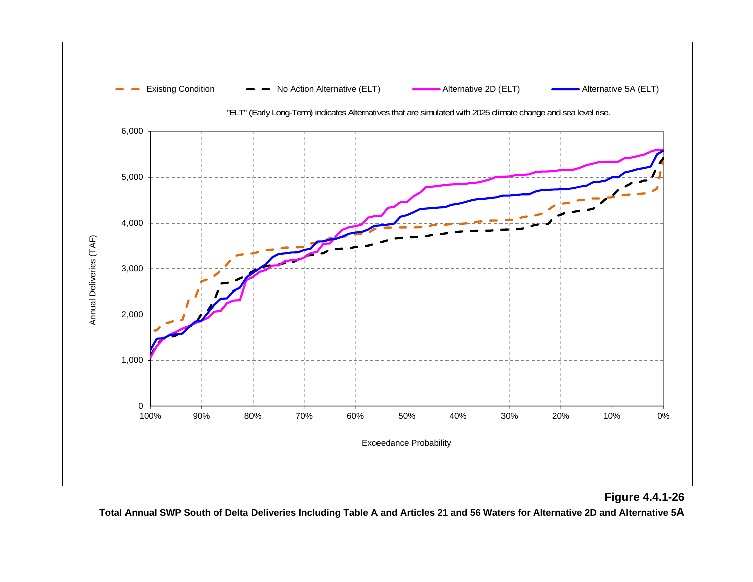

**Total Annual SWP South of Delta Deliveries Including Table A and Articles 21 and 56 Waters for Alternative 2D and Alternative 5A**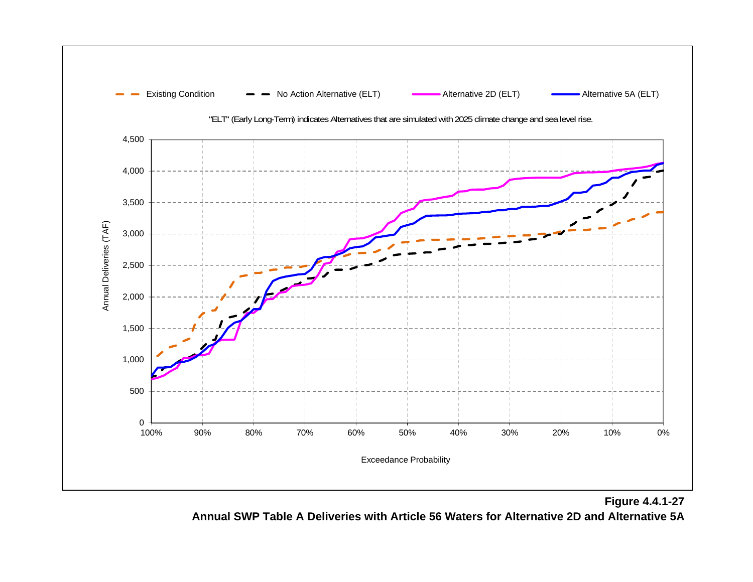

**Figure 4.4.1-27 Annual SWP Table A Deliveries with Article 56 Waters for Alternative 2D and Alternative 5A**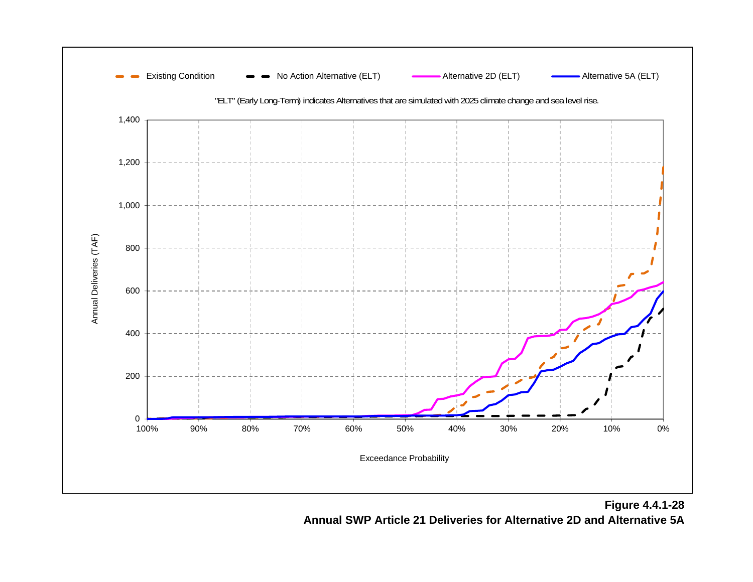

**Annual SWP Article 21 Deliveries for Alternative 2D and Alternative 5A**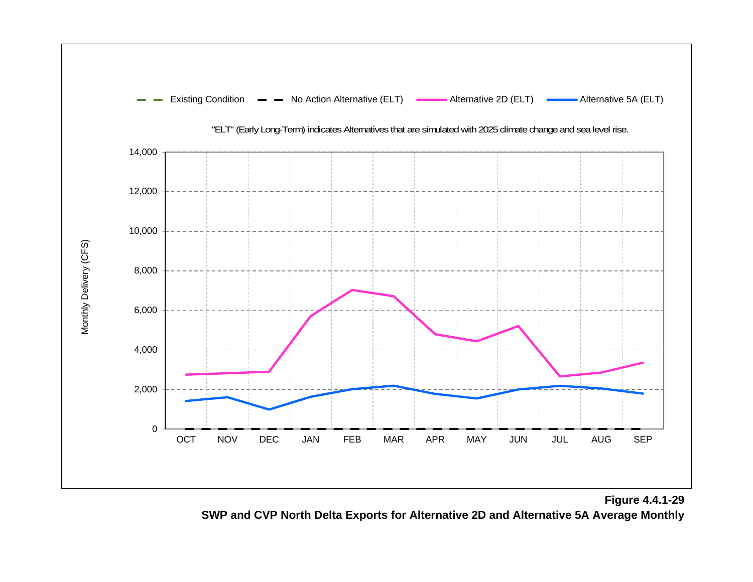

**Figure 4.4.1-29 SWP and CVP North Delta Exports for Alternative 2D and Alternative 5A Average Monthly**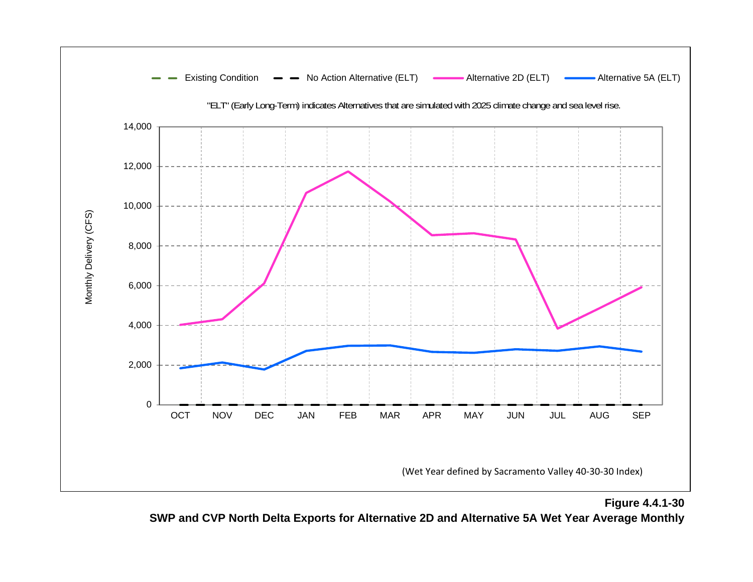

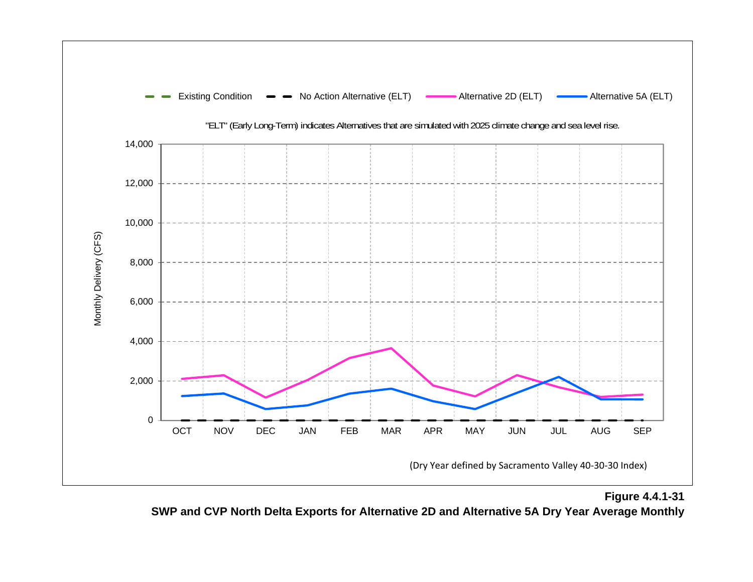

**SWP and CVP North Delta Exports for Alternative 2D and Alternative 5A Dry Year Average Monthly**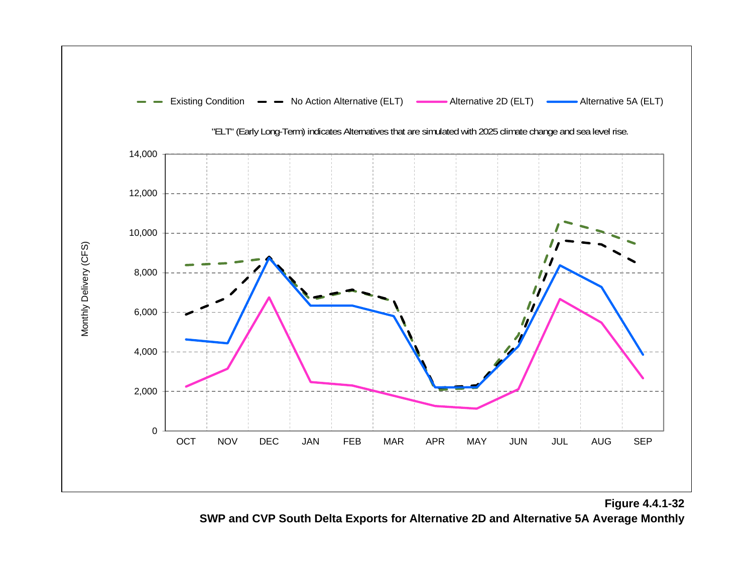

**SWP and CVP South Delta Exports for Alternative 2D and Alternative 5A Average Monthly**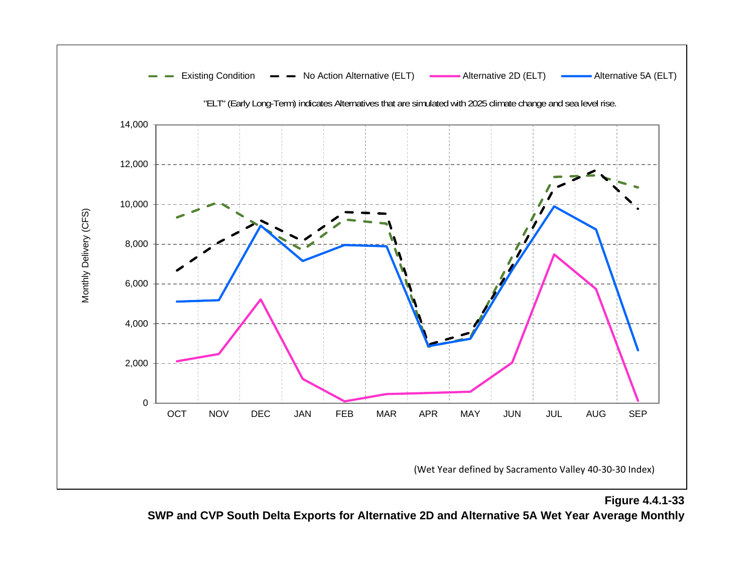

## **Figure 4.4.1-33 SWP and CVP South Delta Exports for Alternative 2D and Alternative 5A Wet Year Average Monthly**